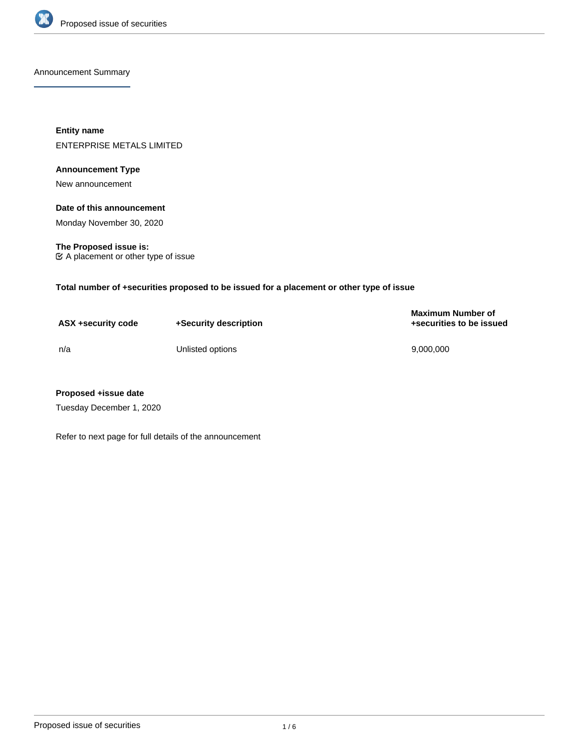

Announcement Summary

**Entity name** ENTERPRISE METALS LIMITED

# **Announcement Type**

New announcement

# **Date of this announcement**

Monday November 30, 2020

**The Proposed issue is:** A placement or other type of issue

**Total number of +securities proposed to be issued for a placement or other type of issue**

| ASX +security code | +Security description | <b>Maximum Number of</b><br>+securities to be issued |
|--------------------|-----------------------|------------------------------------------------------|
| n/a                | Unlisted options      | 9.000.000                                            |

# **Proposed +issue date**

Tuesday December 1, 2020

Refer to next page for full details of the announcement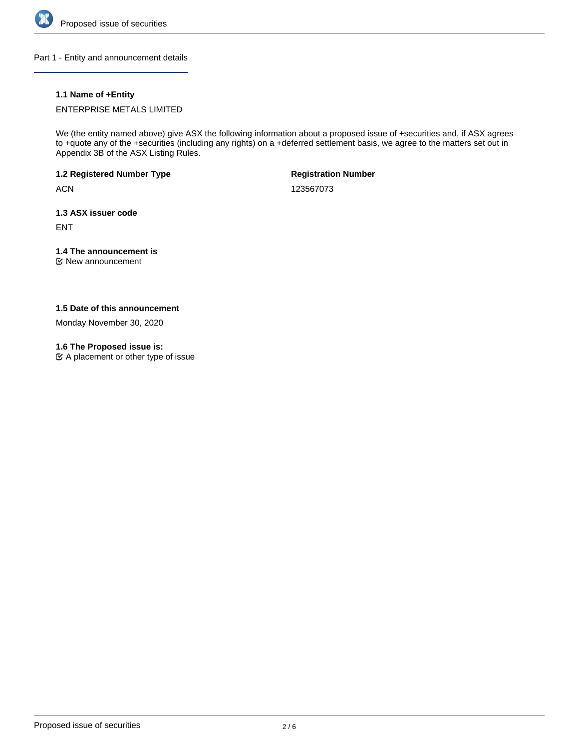

Part 1 - Entity and announcement details

# **1.1 Name of +Entity**

ENTERPRISE METALS LIMITED

We (the entity named above) give ASX the following information about a proposed issue of +securities and, if ASX agrees to +quote any of the +securities (including any rights) on a +deferred settlement basis, we agree to the matters set out in Appendix 3B of the ASX Listing Rules.

**1.2 Registered Number Type**

**ACN** 

**Registration Number**

123567073

**1.3 ASX issuer code**

ENT

# **1.4 The announcement is**

New announcement

# **1.5 Date of this announcement**

Monday November 30, 2020

# **1.6 The Proposed issue is:**

 $\mathfrak{C}$  A placement or other type of issue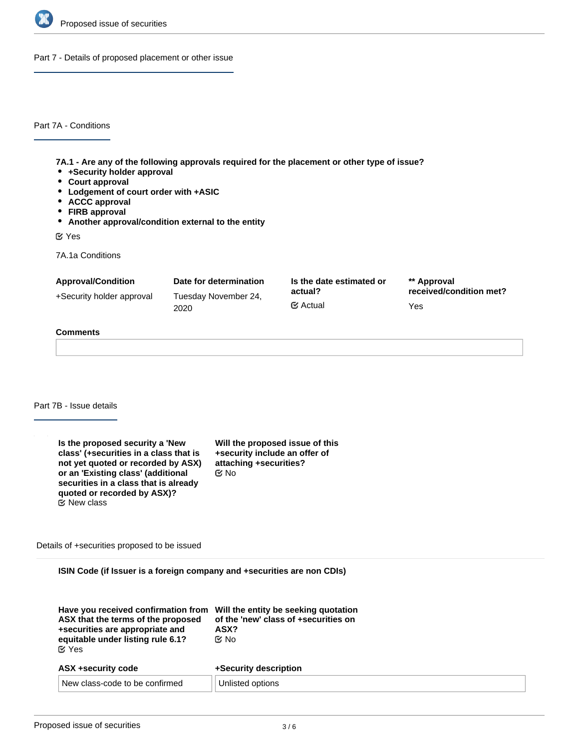

Part 7 - Details of proposed placement or other issue

Part 7A - Conditions

**7A.1 - Are any of the following approvals required for the placement or other type of issue?**

- **+Security holder approval**
- **Court approval**
- **Lodgement of court order with +ASIC**
- **ACCC approval**
- **FIRB approval**
- **Another approval/condition external to the entity**

Yes

7A.1a Conditions

| <b>Approval/Condition</b> | Date for determination       | Is the date estimated or         | ** Approval                    |
|---------------------------|------------------------------|----------------------------------|--------------------------------|
| +Security holder approval | Tuesday November 24,<br>2020 | actual?<br>$\mathfrak{C}$ Actual | received/condition met?<br>Yes |
|                           |                              |                                  |                                |

#### **Comments**

Part 7B - Issue details

| Is the proposed security a 'New<br>class' (+securities in a class that is<br>not yet quoted or recorded by ASX)<br>or an 'Existing class' (additional<br>securities in a class that is already<br>quoted or recorded by ASX)? | Will the proposed issue of this<br>+security include an offer of<br>attaching +securities?<br>@ No |
|-------------------------------------------------------------------------------------------------------------------------------------------------------------------------------------------------------------------------------|----------------------------------------------------------------------------------------------------|
| $\mathfrak{C}$ New class                                                                                                                                                                                                      |                                                                                                    |

Details of +securities proposed to be issued

**ISIN Code (if Issuer is a foreign company and +securities are non CDIs)**

| Have you received confirmation from Will the entity be seeking quotation<br>ASX that the terms of the proposed<br>+securities are appropriate and<br>equitable under listing rule 6.1?<br>$\alpha$ Yes | of the 'new' class of +securities on<br>ASX?<br>় No |  |
|--------------------------------------------------------------------------------------------------------------------------------------------------------------------------------------------------------|------------------------------------------------------|--|
| ASX +security code                                                                                                                                                                                     | +Security description                                |  |
| New class-code to be confirmed                                                                                                                                                                         | Unlisted options                                     |  |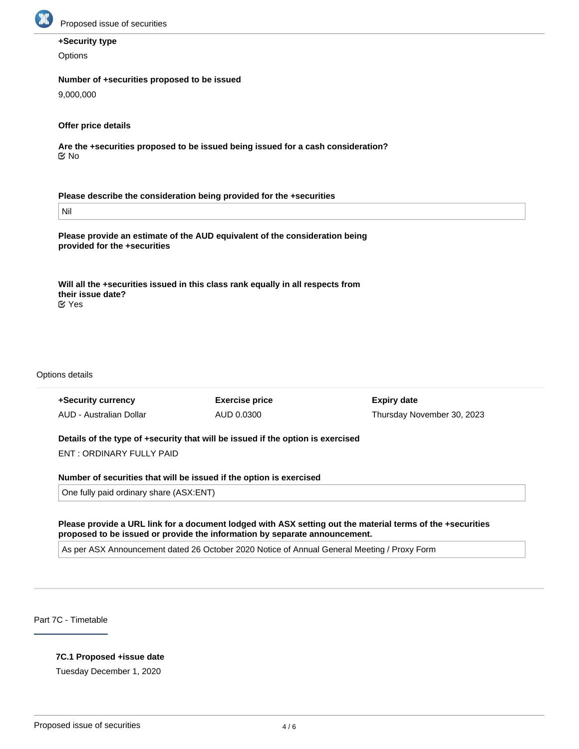

# **+Security type**

**Options** 

#### **Number of +securities proposed to be issued**

9,000,000

# **Offer price details**

**Are the +securities proposed to be issued being issued for a cash consideration?** No

**Please describe the consideration being provided for the +securities**

Nil

**Please provide an estimate of the AUD equivalent of the consideration being provided for the +securities**

**Will all the +securities issued in this class rank equally in all respects from their issue date?** Yes

#### Options details

| +Security currency<br>AUD - Australian Dollar                                   | <b>Exercise price</b><br>AUD 0.0300 | <b>Expiry date</b><br>Thursday November 30, 2023 |  |  |
|---------------------------------------------------------------------------------|-------------------------------------|--------------------------------------------------|--|--|
| Details of the type of +security that will be issued if the option is exercised |                                     |                                                  |  |  |
| ENT: ORDINARY FULLY PAID                                                        |                                     |                                                  |  |  |
| Number of securities that will be issued if the option is exercised             |                                     |                                                  |  |  |

One fully paid ordinary share (ASX:ENT)

**Please provide a URL link for a document lodged with ASX setting out the material terms of the +securities proposed to be issued or provide the information by separate announcement.**

As per ASX Announcement dated 26 October 2020 Notice of Annual General Meeting / Proxy Form

Part 7C - Timetable

# **7C.1 Proposed +issue date**

Tuesday December 1, 2020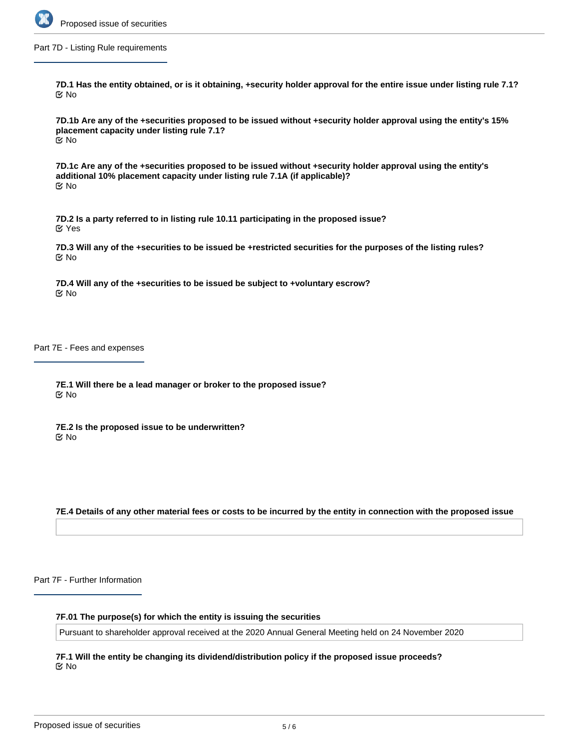

Part 7D - Listing Rule requirements

**7D.1 Has the entity obtained, or is it obtaining, +security holder approval for the entire issue under listing rule 7.1?** No

**7D.1b Are any of the +securities proposed to be issued without +security holder approval using the entity's 15% placement capacity under listing rule 7.1?** No

**7D.1c Are any of the +securities proposed to be issued without +security holder approval using the entity's additional 10% placement capacity under listing rule 7.1A (if applicable)?** No

**7D.2 Is a party referred to in listing rule 10.11 participating in the proposed issue?** Yes

**7D.3 Will any of the +securities to be issued be +restricted securities for the purposes of the listing rules?** No

**7D.4 Will any of the +securities to be issued be subject to +voluntary escrow?** No

Part 7E - Fees and expenses

**7E.1 Will there be a lead manager or broker to the proposed issue?** No

**7E.2 Is the proposed issue to be underwritten?** No

**7E.4 Details of any other material fees or costs to be incurred by the entity in connection with the proposed issue**

Part 7F - Further Information

**7F.01 The purpose(s) for which the entity is issuing the securities**

Pursuant to shareholder approval received at the 2020 Annual General Meeting held on 24 November 2020

**7F.1 Will the entity be changing its dividend/distribution policy if the proposed issue proceeds?** No